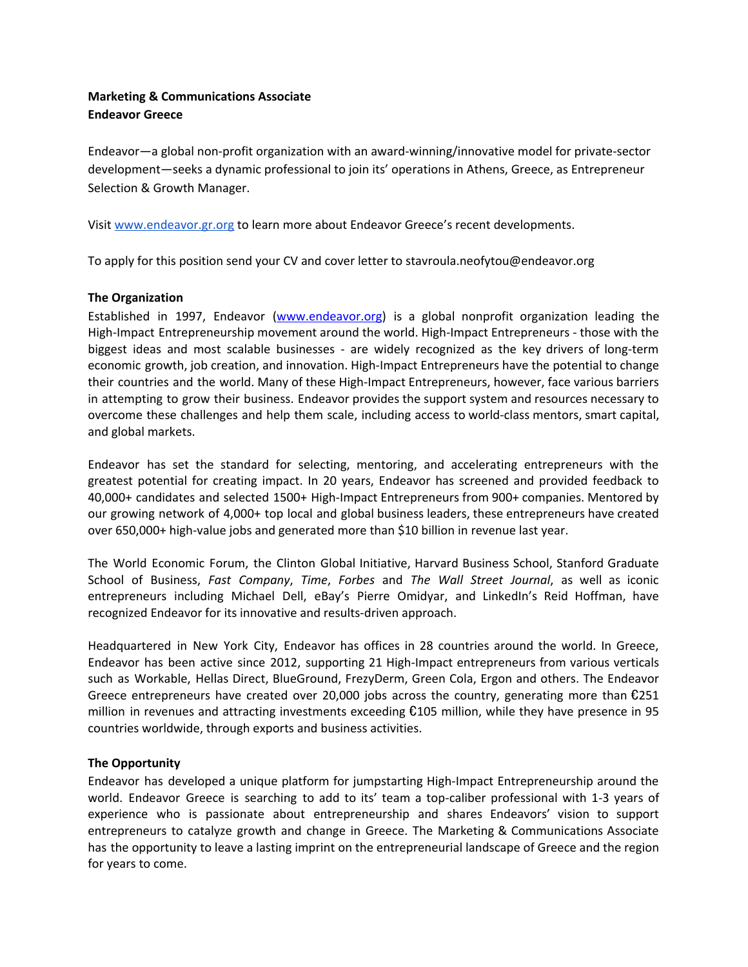# **Marketing & Communications Associate Endeavor Greece**

Endeavor—a global non-profit organization with an award-winning/innovative model for private-sector development—seeks a dynamic professional to join its' operations in Athens, Greece, as Entrepreneur Selection & Growth Manager.

Visit [www.endeavor.gr.org](http://www.endeavor.bg/) to learn more about Endeavor Greece's recent developments.

To apply for this position send your CV and cover letter to stavroula.neofytou@endeavor.org

## **The Organization**

Established in 1997, Endeavor [\(www.endeavor.org\)](http://www.endeavor.org/) is a global nonprofit organization leading the High-Impact Entrepreneurship movement around the world. High-Impact Entrepreneurs - those with the biggest ideas and most scalable businesses - are widely recognized as the key drivers of long-term economic growth, job creation, and innovation. High-Impact Entrepreneurs have the potential to change their countries and the world. Many of these High-Impact Entrepreneurs, however, face various barriers in attempting to grow their business. Endeavor provides the support system and resources necessary to overcome these challenges and help them scale, including access to world-class mentors, smart capital, and global markets.

Endeavor has set the standard for selecting, mentoring, and accelerating entrepreneurs with the greatest potential for creating impact. In 20 years, Endeavor has screened and provided feedback to 40,000+ candidates and selected 1500+ High-Impact Entrepreneurs from 900+ companies. Mentored by our growing network of 4,000+ top local and global business leaders, these entrepreneurs have created over 650,000+ high-value jobs and generated more than \$10 billion in revenue last year.

The World Economic Forum, the Clinton Global Initiative, Harvard Business School, Stanford Graduate School of Business, *Fast Company*, *Time*, *Forbes* and *The Wall Street Journal*, as well as iconic entrepreneurs including Michael Dell, eBay's Pierre Omidyar, and LinkedIn's Reid Hoffman, have recognized Endeavor for its innovative and results-driven approach.

Headquartered in New York City, Endeavor has offices in 28 countries around the world. In Greece, Endeavor has been active since 2012, supporting 21 High-Impact entrepreneurs from various verticals such as Workable, Hellas Direct, BlueGround, FrezyDerm, Green Cola, Ergon and others. The Endeavor Greece entrepreneurs have created over 20,000 jobs across the country, generating more than  $\epsilon$ 251 million in revenues and attracting investments exceeding €105 million, while they have presence in 95 countries worldwide, through exports and business activities.

## **The Opportunity**

Endeavor has developed a unique platform for jumpstarting High-Impact Entrepreneurship around the world. Endeavor Greece is searching to add to its' team a top-caliber professional with 1-3 years of experience who is passionate about entrepreneurship and shares Endeavors' vision to support entrepreneurs to catalyze growth and change in Greece. The Marketing & Communications Associate has the opportunity to leave a lasting imprint on the entrepreneurial landscape of Greece and the region for years to come.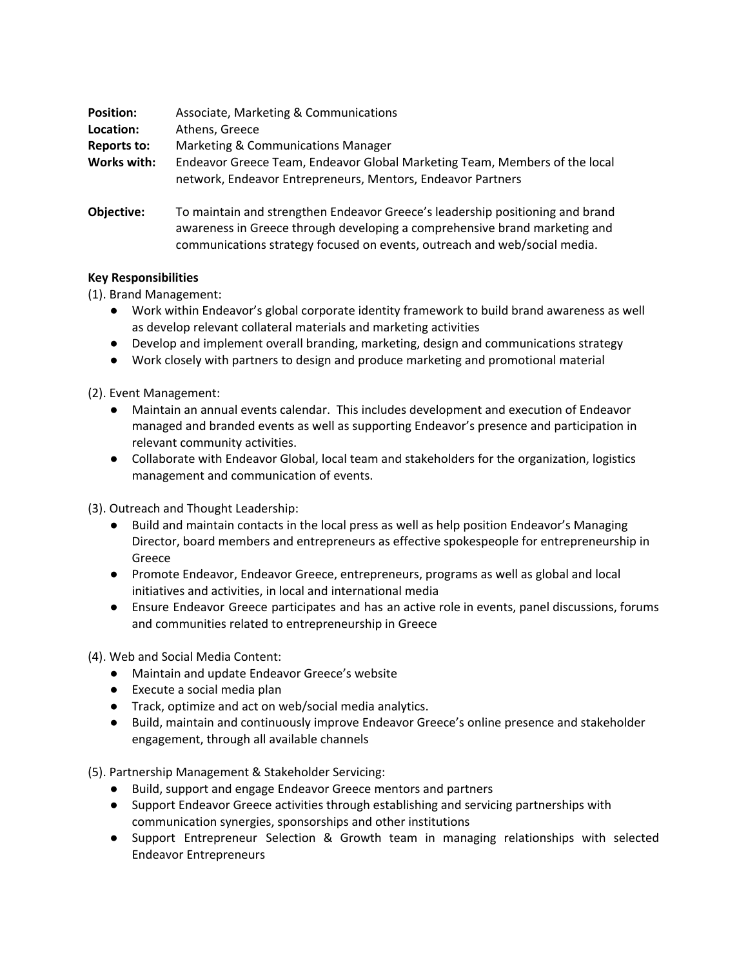| <b>Position:</b><br>Location: | Associate, Marketing & Communications<br>Athens, Greece                                                                                   |
|-------------------------------|-------------------------------------------------------------------------------------------------------------------------------------------|
| Reports to:                   | Marketing & Communications Manager                                                                                                        |
| Works with:                   | Endeavor Greece Team, Endeavor Global Marketing Team, Members of the local<br>network, Endeavor Entrepreneurs, Mentors, Endeavor Partners |
| Ohiactive:                    | To maintain and strengthen Endeavor Greece's leadership positioning and brand                                                             |

**Objective:** To maintain and strengthen Endeavor Greece's leadership positioning and brand awareness in Greece through developing a comprehensive brand marketing and communications strategy focused on events, outreach and web/social media.

## **Key Responsibilities**

(1). Brand Management:

- Work within Endeavor's global corporate identity framework to build brand awareness as well as develop relevant collateral materials and marketing activities
- Develop and implement overall branding, marketing, design and communications strategy
- Work closely with partners to design and produce marketing and promotional material

(2). Event Management:

- Maintain an annual events calendar. This includes development and execution of Endeavor managed and branded events as well as supporting Endeavor's presence and participation in relevant community activities.
- Collaborate with Endeavor Global, local team and stakeholders for the organization, logistics management and communication of events.

(3). Outreach and Thought Leadership:

- Build and maintain contacts in the local press as well as help position Endeavor's Managing Director, board members and entrepreneurs as effective spokespeople for entrepreneurship in Greece
- Promote Endeavor, Endeavor Greece, entrepreneurs, programs as well as global and local initiatives and activities, in local and international media
- Ensure Endeavor Greece participates and has an active role in events, panel discussions, forums and communities related to entrepreneurship in Greece

(4). Web and Social Media Content:

- Maintain and update Endeavor Greece's website
- Execute a social media plan
- Track, optimize and act on web/social media analytics.
- **●** Build, maintain and continuously improve Endeavor Greece's online presence and stakeholder engagement, through all available channels

(5). Partnership Management & Stakeholder Servicing:

- **●** Build, support and engage Endeavor Greece mentors and partners
- Support Endeavor Greece activities through establishing and servicing partnerships with communication synergies, sponsorships and other institutions
- Support Entrepreneur Selection & Growth team in managing relationships with selected Endeavor Entrepreneurs